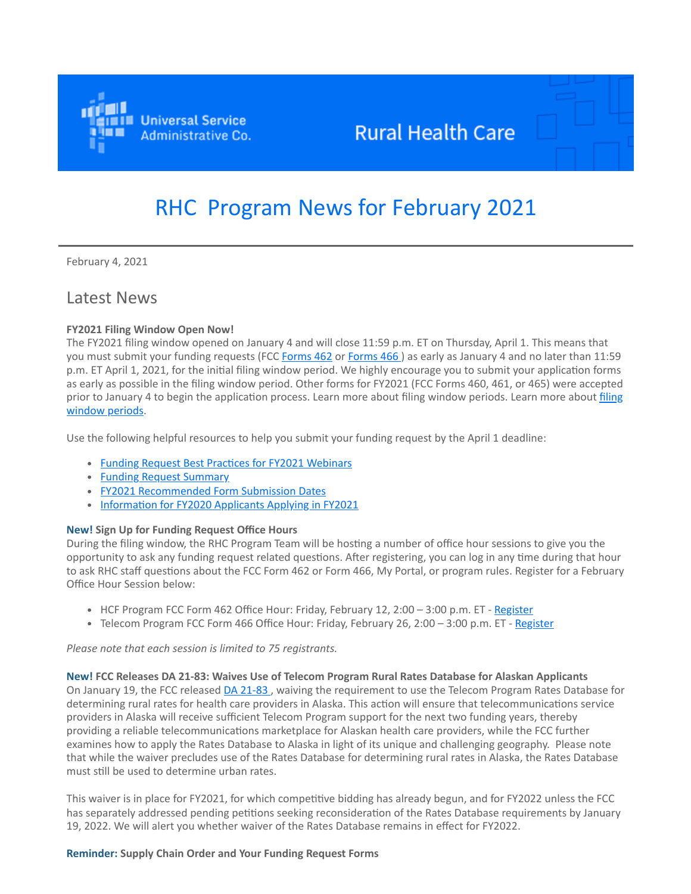

## **Rural Health Care**

# RHC Program News for February 2021

February 4, 2021

### Latest News

#### **FY2021 Filing Window Open Now!**

The FY2021 filing window opened on January 4 and will close 11:59 p.m. ET on Thursday, April 1. This means that you must submit your funding requests (FCC [Forms 462](https://click.outreach.usac.org/?qs=10743536c73293a4c40f6b4df842951a643fa07630a81fcdfa13f13065afb9e2ac8b6b999e41beb35b3e8b9f52c1841f7bfd903663a6ad96) or [Forms 466](https://click.outreach.usac.org/?qs=10743536c73293a46329c606037fba451814f4ce5bb1f01347a8351bd25bf544afdf47507de3c12ecbbeea5db9810be5206c06da0ea7351a)) as early as January 4 and no later than 11:59 p.m. ET April 1, 2021, for the initial filing window period. We highly encourage you to submit your application forms as early as possible in the filing window period. Other forms for FY2021 (FCC Forms 460, 461, or 465) were accepted [prior to January 4 to begin the application process. Learn more about filing window periods. Learn more about filing](https://click.outreach.usac.org/?qs=10743536c73293a4730ba865b8f406f2c0728b2c8813327b40e00eb747b92e9f28e7992508a60a8558e091385a34c4030567c59dcf6c80d8) window periods.

Use the following helpful resources to help you submit your funding request by the April 1 deadline:

- [Funding Request Best Practices for FY2021 Webinars](https://click.outreach.usac.org/?qs=10743536c73293a442768aba4bcb09ad7a2222e4a6af545cfd69f8eb69a7dd69078776a013b0d42e81430a18ddcf749293836c1914f4cb28)
- [Funding Request Summary](https://click.outreach.usac.org/?qs=10743536c73293a4fef30e846b508a701212c6f2f794a4b01f3cccb4b25810b4fb84ea9a015e2644c14edd80cfee43419aa821fc1293b9d7)
- [FY2021 Recommended Form Submission Dates](https://click.outreach.usac.org/?qs=10743536c73293a454acc88a44b35f8708c38c8058c132020bc83ab64c5aff467cc6e08b99efdf7e97b4b69eefdc94cd32220a7140aeab96)
- [Information for FY2020 Applicants Applying in FY2021](https://click.outreach.usac.org/?qs=10743536c73293a477a377ff5fa0da07467eb679534d4b9d764d404635312e714c8ca9dea55f03a6f80b1a1ba6cb2bb7bd85eeff9ac97434)

#### **New! Sign Up for Funding Request Office Hours**

During the filing window, the RHC Program Team will be hosting a number of office hour sessions to give you the opportunity to ask any funding request related questions. After registering, you can log in any time during that hour to ask RHC staff questions about the FCC Form 462 or Form 466, My Portal, or program rules. Register for a February Office Hour Session below:

- HCF Program FCC Form 462 Office Hour: Friday, February 12, 2:00 3:00 p.m. ET [Register](https://click.outreach.usac.org/?qs=10743536c73293a43129128945cd032b976080ba19bd60d16b17ef3a3eb487e35e7d400afe93257df658c6b251f467e2512e8431982a3ee2)
- Telecom Program FCC Form 466 Office Hour: Friday, February 26, 2:00 3:00 p.m. ET - [Register](https://click.outreach.usac.org/?qs=10743536c73293a47f4b93905fab24fea285e0a8dee90487e045984b3d95722c5dee4d42d47fb7d62da5b91bf73ebeb8c4cab2247d60dd8d)

*Please note that each session is limited to 75 registrants.*

**New! FCC Releases DA 21-83: Waives Use of Telecom Program Rural Rates Database for Alaskan Applicants** On January 19, the FCC released [DA 21-83](https://click.outreach.usac.org/?qs=10743536c73293a4914a669ed7eceaf22b16f450db52e18cf431fae9aa7f0fd88b49ab92db8e0eb11dabcb1a09579d91839deefd3d576080), waiving the requirement to use the Telecom Program Rates Database for determining rural rates for health care providers in Alaska. This action will ensure that telecommunications service providers in Alaska will receive sufficient Telecom Program support for the next two funding years, thereby providing a reliable telecommunications marketplace for Alaskan health care providers, while the FCC further examines how to apply the Rates Database to Alaska in light of its unique and challenging geography. Please note that while the waiver precludes use of the Rates Database for determining rural rates in Alaska, the Rates Database must still be used to determine urban rates.

This waiver is in place for FY2021, for which competitive bidding has already begun, and for FY2022 unless the FCC has separately addressed pending petitions seeking reconsideration of the Rates Database requirements by January 19, 2022. We will alert you whether waiver of the Rates Database remains in effect for FY2022.

#### **Reminder: Supply Chain Order and Your Funding Request Forms**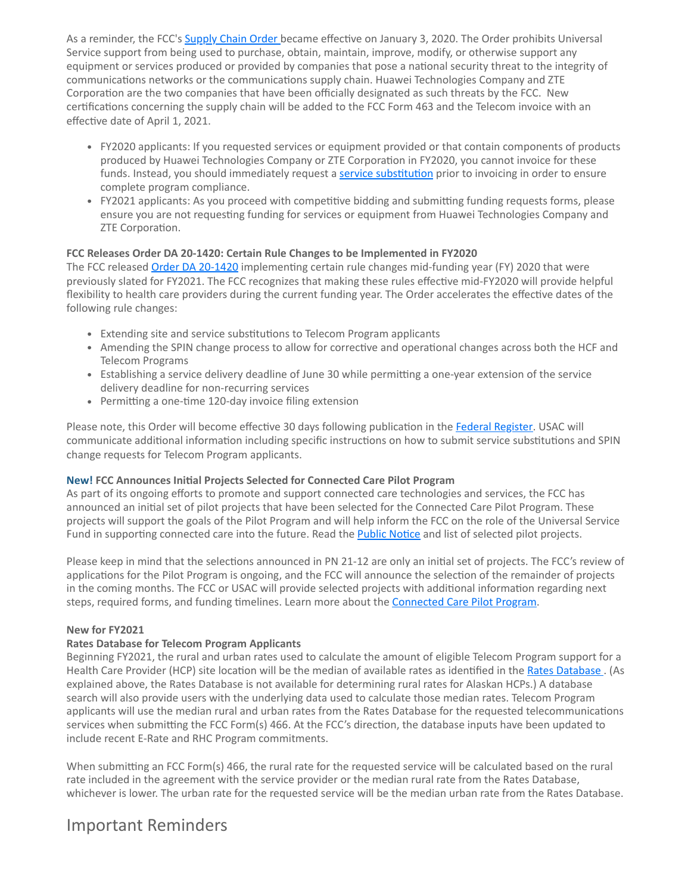As a reminder, the FCC's [Supply Chain Order](https://click.outreach.usac.org/?qs=10743536c73293a44a1333cc2b309b32e58f9f1edf8586b6d0e08c4964fae77f8adaf3608c8f3cc1733d17e64908edc0a6b5acadedc8d010) became effective on January 3, 2020. The Order prohibits Universal Service support from being used to purchase, obtain, maintain, improve, modify, or otherwise support any equipment or services produced or provided by companies that pose a national security threat to the integrity of communications networks or the communications supply chain. Huawei Technologies Company and ZTE Corporation are the two companies that have been officially designated as such threats by the FCC. New certifications concerning the supply chain will be added to the FCC Form 463 and the Telecom invoice with an effective date of April 1, 2021.

- FY2020 applicants: If you requested services or equipment provided or that contain components of products produced by Huawei Technologies Company or ZTE Corporation in FY2020, you cannot invoice for these funds. Instead, you should immediately request a [service substitution](https://click.outreach.usac.org/?qs=10743536c73293a4baa287c35f132cec2112f27cfc3ac3f2054b7f2ace79173d13c12159828151fa2a586e943227dfb3bb681af9e364e45f) prior to invoicing in order to ensure complete program compliance.
- FY2021 applicants: As you proceed with competitive bidding and submitting funding requests forms, please ensure you are not requesting funding for services or equipment from Huawei Technologies Company and ZTE Corporation.

#### **FCC Releases Order DA 20-1420: Certain Rule Changes to be Implemented in FY2020**

The FCC released [Order DA 20-1420](https://click.outreach.usac.org/?qs=10743536c73293a435483f87643af5579139391049bdc082a8af10f78e41ab9e973c45bf5cfe6eb509354c3dab4be9b5ebcaa4afdb1b2a03) implementing certain rule changes mid-funding year (FY) 2020 that were previously slated for FY2021. The FCC recognizes that making these rules effective mid-FY2020 will provide helpful flexibility to health care providers during the current funding year. The Order accelerates the effective dates of the following rule changes:

- Extending site and service substitutions to Telecom Program applicants
- Amending the SPIN change process to allow for corrective and operational changes across both the HCF and Telecom Programs
- Establishing a service delivery deadline of June 30 while permitting a one-year extension of the service delivery deadline for non-recurring services
- Permitting a one-time 120-day invoice filing extension

Please note, this Order will become effective 30 days following publication in the [Federal Register](https://click.outreach.usac.org/?qs=10743536c73293a4e048aeb26a5ec8bd90b302f789966c3891bbff59af77fe27cdfcbf3aeafc0cd55ed16cd49ef972c3730952a525ff9691). USAC will communicate additional information including specific instructions on how to submit service substitutions and SPIN change requests for Telecom Program applicants.

#### **New! FCC Announces Initial Projects Selected for Connected Care Pilot Program**

As part of its ongoing efforts to promote and support connected care technologies and services, the FCC has announced an initial set of pilot projects that have been selected for the Connected Care Pilot Program. These projects will support the goals of the Pilot Program and will help inform the FCC on the role of the Universal Service Fund in supporting connected care into the future. Read the [Public Notice](https://click.outreach.usac.org/?qs=10743536c73293a41d0d3573b6a7f57b761d06fa8d30b7193958e5236601b2a12f5539b1e5cd3a0237bb4bebba458a71c3b3135321bd9fbf) and list of selected pilot projects.

Please keep in mind that the selections announced in PN 21-12 are only an initial set of projects. The FCC's review of applications for the Pilot Program is ongoing, and the FCC will announce the selection of the remainder of projects in the coming months. The FCC or USAC will provide selected projects with additional information regarding next steps, required forms, and funding timelines. Learn more about the **Connected Care Pilot Program**.

#### **New for FY2021**

#### **Rates Database for Telecom Program Applicants**

Beginning FY2021, the rural and urban rates used to calculate the amount of eligible Telecom Program support for a Health Care Provider (HCP) site location will be the median of available rates as identified in the [Rates Database](https://click.outreach.usac.org/?qs=10743536c73293a4f0cac17720801a8512fe6635821e0660976d7d398d4b85b245489cd814ffc520156e23c8b715731b0ce55ec85453e8d5). (As explained above, the Rates Database is not available for determining rural rates for Alaskan HCPs.) A database search will also provide users with the underlying data used to calculate those median rates. Telecom Program applicants will use the median rural and urban rates from the Rates Database for the requested telecommunications services when submitting the FCC Form(s) 466. At the FCC's direction, the database inputs have been updated to include recent E-Rate and RHC Program commitments.

When submitting an FCC Form(s) 466, the rural rate for the requested service will be calculated based on the rural rate included in the agreement with the service provider or the median rural rate from the Rates Database, whichever is lower. The urban rate for the requested service will be the median urban rate from the Rates Database.

### Important Reminders